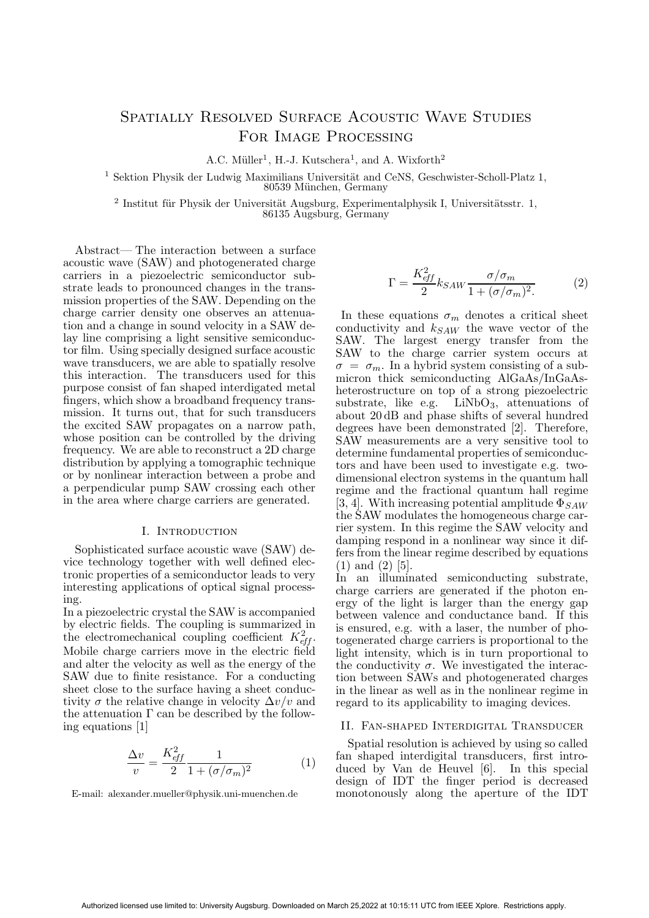# Spatially Resolved Surface Acoustic Wave Studies FOR IMAGE PROCESSING

A.C. Müller<sup>1</sup>, H.-J. Kutschera<sup>1</sup>, and A. Wixforth<sup>2</sup>

 $1$  Sektion Physik der Ludwig Maximilians Universität and CeNS, Geschwister-Scholl-Platz 1, 80539 München, Germany

 $^2$ Institut für Physik der Universität Augsburg, Experimentalphysik I, Universitätsstr. 1, 86135 Augsburg, Germany

Abstract— The interaction between a surface acoustic wave (SAW) and photogenerated charge carriers in a piezoelectric semiconductor substrate leads to pronounced changes in the transmission properties of the SAW. Depending on the charge carrier density one observes an attenuation and a change in sound velocity in a SAW delay line comprising a light sensitive semiconductor film. Using specially designed surface acoustic wave transducers, we are able to spatially resolve this interaction. The transducers used for this purpose consist of fan shaped interdigated metal fingers, which show a broadband frequency transmission. It turns out, that for such transducers the excited SAW propagates on a narrow path, whose position can be controlled by the driving frequency. We are able to reconstruct a 2D charge distribution by applying a tomographic technique or by nonlinear interaction between a probe and a perpendicular pump SAW crossing each other in the area where charge carriers are generated.

## I. INTRODUCTION

Sophisticated surface acoustic wave (SAW) device technology together with well defined electronic properties of a semiconductor leads to very interesting applications of optical signal processing.

In a piezoelectric crystal the SAW is accompanied by electric fields. The coupling is summarized in the electromechanical coupling coefficient  $K_{eff}^2$ . Mobile charge carriers move in the electric field and alter the velocity as well as the energy of the SAW due to finite resistance. For a conducting sheet close to the surface having a sheet conductivity  $\sigma$  the relative change in velocity  $\Delta v/v$  and the attenuation  $\Gamma$  can be described by the following equations [1]

$$
\frac{\Delta v}{v} = \frac{K_{\text{eff}}^2}{2} \frac{1}{1 + (\sigma/\sigma_m)^2} \tag{1}
$$

E-mail: alexander.mueller@physik.uni-muenchen.de

$$
\Gamma = \frac{K_{\text{eff}}^2}{2} k_{SAW} \frac{\sigma/\sigma_m}{1 + (\sigma/\sigma_m)^2}.
$$
 (2)

In these equations  $\sigma_m$  denotes a critical sheet conductivity and  $k_{SAW}$  the wave vector of the SAW. The largest energy transfer from the SAW to the charge carrier system occurs at  $\sigma = \sigma_m$ . In a hybrid system consisting of a submicron thick semiconducting AlGaAs/InGaAsheterostructure on top of a strong piezoelectric substrate, like e.g.  $LiNbO<sub>3</sub>$ , attenuations of about 20 dB and phase shifts of several hundred degrees have been demonstrated [2]. Therefore, SAW measurements are a very sensitive tool to determine fundamental properties of semiconductors and have been used to investigate e.g. twodimensional electron systems in the quantum hall regime and the fractional quantum hall regime [3, 4]. With increasing potential amplitude  $\Phi_{SAW}$ the SAW modulates the homogeneous charge carrier system. In this regime the SAW velocity and damping respond in a nonlinear way since it differs from the linear regime described by equations (1) and (2) [5].

In an illuminated semiconducting substrate, charge carriers are generated if the photon energy of the light is larger than the energy gap between valence and conductance band. If this is ensured, e.g. with a laser, the number of photogenerated charge carriers is proportional to the light intensity, which is in turn proportional to the conductivity  $\sigma$ . We investigated the interaction between SAWs and photogenerated charges in the linear as well as in the nonlinear regime in regard to its applicability to imaging devices.

#### II. Fan-shaped Interdigital Transducer

Spatial resolution is achieved by using so called fan shaped interdigital transducers, first introduced by Van de Heuvel [6]. In this special design of IDT the finger period is decreased monotonously along the aperture of the IDT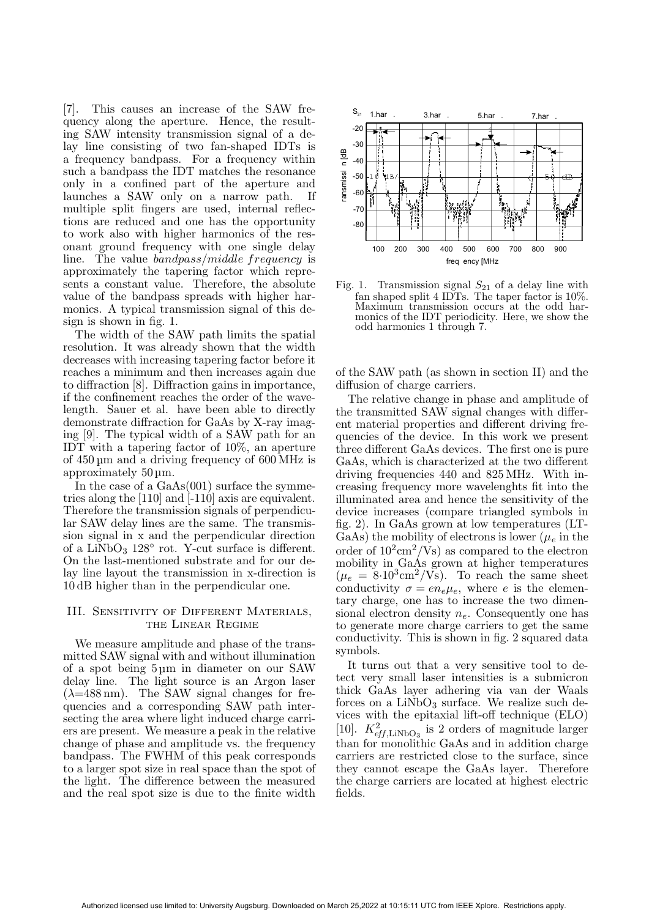[7]. This causes an increase of the SAW frequency along the aperture. Hence, the resulting SAW intensity transmission signal of a delay line consisting of two fan-shaped IDTs is a frequency bandpass. For a frequency within such a bandpass the IDT matches the resonance only in a confined part of the aperture and launches a SAW only on a narrow path. If multiple split fingers are used, internal reflections are reduced and one has the opportunity to work also with higher harmonics of the resonant ground frequency with one single delay line. The value bandpass/middle frequency is approximately the tapering factor which represents a constant value. Therefore, the absolute value of the bandpass spreads with higher harmonics. A typical transmission signal of this design is shown in fig. 1.

The width of the SAW path limits the spatial resolution. It was already shown that the width decreases with increasing tapering factor before it reaches a minimum and then increases again due to diffraction [8]. Diffraction gains in importance, if the confinement reaches the order of the wavelength. Sauer et al. have been able to directly demonstrate diffraction for GaAs by X-ray imaging [9]. The typical width of a SAW path for an IDT with a tapering factor of 10%, an aperture of 450 m and a driving frequency of 600 MHz is approximately 50 m.

In the case of a GaAs(001) surface the symmetries along the [110] and [-110] axis are equivalent. Therefore the transmission signals of perpendicular SAW delay lines are the same. The transmission signal in x and the perpendicular direction  $\frac{1}{100}$  is  $\frac{1}{100}$  and  $\frac{1}{100}$  and  $\frac{1}{100}$  and  $\frac{1}{100}$  and  $\frac{1}{100}$  and  $\frac{1}{100}$  and  $\frac{1}{100}$  and  $\frac{1}{100}$  and  $\frac{1}{100}$  and  $\frac{1}{100}$  and  $\frac{1}{100}$  and  $\frac{1}{100}$  and  $\frac{1}{100}$  an On the last-mentioned substrate and for our delay line layout the transmission in x-direction is 10 dB higher than in the perpendicular one.

## III. Sensitivity of Different Materials, the Linear Regime

We measure amplitude and phase of the transmitted SAW signal with and without illumination of a spot being 5 m in diameter on our SAW delay line. The light source is an Argon laser  $(\lambda=488 \,\mathrm{nm})$ . The SAW signal changes for frequencies and a corresponding SAW path intersecting the area where light induced charge carriers are present. We measure a peak in the relative change of phase and amplitude vs. the frequency bandpass. The FWHM of this peak corresponds to a larger spot size in real space than the spot of the light. The difference between the measured and the real spot size is due to the finite width



Fig. 1. Transmission signal  $S_{21}$  of a delay line with fan shaped split 4 IDTs. The taper factor is 10%. Maximum transmission occurs at the odd harmonics of the IDT periodicity. Here, we show the odd harmonics 1 through 7.

of the SAW path (as shown in section II) and the diffusion of charge carriers.

The relative change in phase and amplitude of the transmitted SAW signal changes with different material properties and different driving frequencies of the device. In this work we present three different GaAs devices. The first one is pure GaAs, which is characterized at the two different driving frequencies 440 and 825 MHz. With increasing frequency more wavelenghts fit into the illuminated area and hence the sensitivity of the device increases (compare triangled symbols in fig. 2). In GaAs grown at low temperatures (LT-GaAs) the mobility of electrons is lower ( $\mu_e$  in the order of  $10^2 \text{cm}^2/\text{Vs}$  as compared to the electron mobility in GaAs grown at higher temperatures  $(\mu_e = 8.10^3 \text{cm}^2/\text{Vs})$ . To reach the same sheet conductivity  $\sigma = en_e\mu_e$ , where e is the elementary charge, one has to increase the two dimensional electron density  $n_e$ . Consequently one has to generate more charge carriers to get the same conductivity. This is shown in fig. 2 squared data symbols.

It turns out that a very sensitive tool to detect very small laser intensities is a submicron thick GaAs layer adhering via van der Waals forces on a  $LiNbO<sub>3</sub>$  surface. We realize such devices with the epitaxial lift-off technique (ELO) [10].  $K_{\text{eff,LiNbO}_3}^2$  is 2 orders of magnitude larger than for monolithic GaAs and in addition charge carriers are restricted close to the surface, since they cannot escape the GaAs layer. Therefore the charge carriers are located at highest electric fields.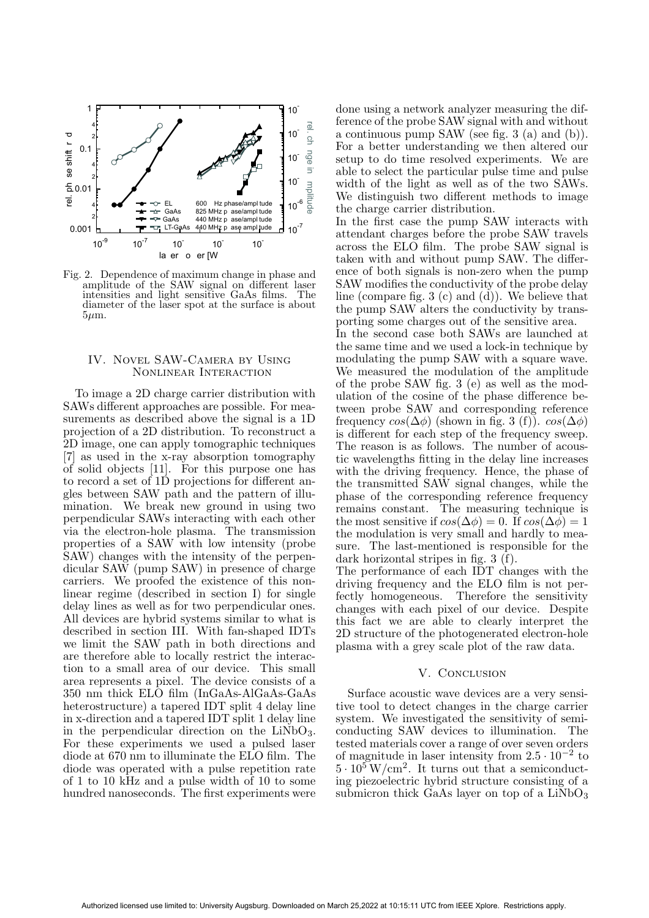

Fig. 2. Dependence of maximum change in phase and amplitude of the SAW signal on different laser intensities and light sensitive GaAs films. The diameter of the laser spot at the surface is about  $5 \mu m$ .

## IV. Novel SAW-Camera by Using Nonlinear Interaction

To image a 2D charge carrier distribution with SAWs different approaches are possible. For measurements as described above the signal is a 1D projection of a 2D distribution. To reconstruct a 2D image, one can apply tomographic techniques [7] as used in the x-ray absorption tomography of solid objects [11]. For this purpose one has to record a set of 1D projections for different angles between SAW path and the pattern of illumination. We break new ground in using two perpendicular SAWs interacting with each other via the electron-hole plasma. The transmission properties of a SAW with low intensity (probe SAW) changes with the intensity of the perpendicular SAW (pump SAW) in presence of charge carriers. We proofed the existence of this nonlinear regime (described in section I) for single delay lines as well as for two perpendicular ones. All devices are hybrid systems similar to what is described in section III. With fan-shaped IDTs we limit the SAW path in both directions and are therefore able to locally restrict the interaction to a small area of our device. This small area represents a pixel. The device consists of a 350 nm thick ELO film (InGaAs-AlGaAs-GaAs heterostructure) a tapered IDT split 4 delay line in x-direction and a tapered IDT split 1 delay line in the perpendicular direction on the  $LiNbO<sub>3</sub>$ . For these experiments we used a pulsed laser diode at 670 nm to illuminate the ELO film. The diode was operated with a pulse repetition rate of 1 to 10 kHz and a pulse width of 10 to some hundred nanoseconds. The first experiments were done using a network analyzer measuring the difference of the probe SAW signal with and without a continuous pump SAW (see fig. 3 (a) and (b)). For a better understanding we then altered our setup to do time resolved experiments. We are able to select the particular pulse time and pulse width of the light as well as of the two SAWs. We distinguish two different methods to image the charge carrier distribution.

In the first case the pump SAW interacts with attendant charges before the probe SAW travels across the ELO film. The probe SAW signal is taken with and without pump SAW. The difference of both signals is non-zero when the pump SAW modifies the conductivity of the probe delay line (compare fig. 3 (c) and (d)). We believe that the pump SAW alters the conductivity by transporting some charges out of the sensitive area.

In the second case both SAWs are launched at the same time and we used a lock-in technique by modulating the pump SAW with a square wave. We measured the modulation of the amplitude of the probe SAW fig. 3 (e) as well as the modulation of the cosine of the phase difference between probe SAW and corresponding reference frequency  $cos(\Delta\phi)$  (shown in fig. 3 (f)).  $cos(\Delta\phi)$ is different for each step of the frequency sweep. The reason is as follows. The number of acoustic wavelengths fitting in the delay line increases with the driving frequency. Hence, the phase of the transmitted SAW signal changes, while the phase of the corresponding reference frequency remains constant. The measuring technique is the most sensitive if  $cos(\Delta\phi) = 0$ . If  $cos(\Delta\phi) = 1$ the modulation is very small and hardly to measure. The last-mentioned is responsible for the dark horizontal stripes in fig. 3 (f).

The performance of each IDT changes with the driving frequency and the ELO film is not perfectly homogeneous. Therefore the sensitivity changes with each pixel of our device. Despite this fact we are able to clearly interpret the 2D structure of the photogenerated electron-hole plasma with a grey scale plot of the raw data.

#### V. Conclusion

Surface acoustic wave devices are a very sensitive tool to detect changes in the charge carrier system. We investigated the sensitivity of semiconducting SAW devices to illumination. The tested materials cover a range of over seven orders of magnitude in laser intensity from  $2.5 \cdot 10^{-2}$  to  $5 \cdot 10^5$  W/cm<sup>2</sup>. It turns out that a semiconducting piezoelectric hybrid structure consisting of a submicron thick GaAs layer on top of a  $LiNbO<sub>3</sub>$